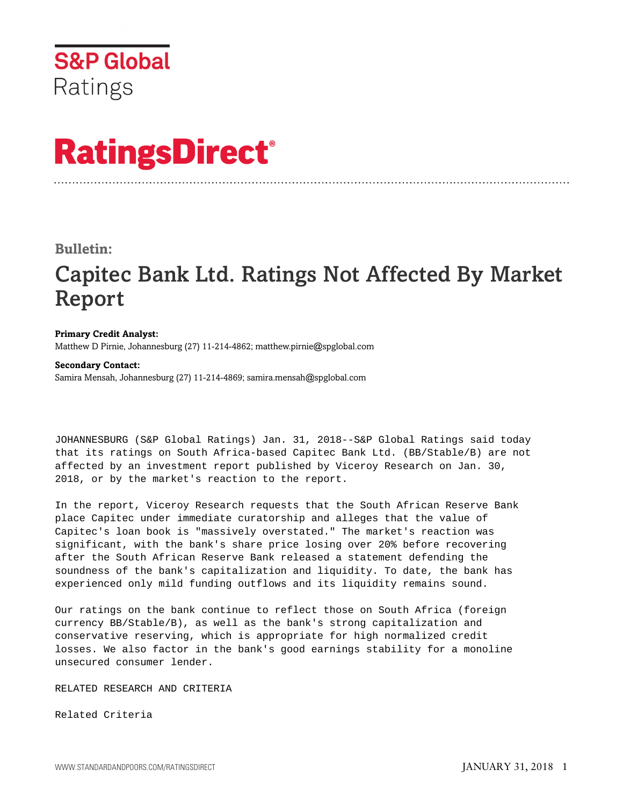

# **RatingsDirect®**

### **Bulletin:**

## Capitec Bank Ltd. Ratings Not Affected By Market Report

#### **Primary Credit Analyst:**

Matthew D Pirnie, Johannesburg (27) 11-214-4862; matthew.pirnie@spglobal.com

#### **Secondary Contact:**

Samira Mensah, Johannesburg (27) 11-214-4869; samira.mensah@spglobal.com

JOHANNESBURG (S&P Global Ratings) Jan. 31, 2018--S&P Global Ratings said today that its ratings on South Africa-based Capitec Bank Ltd. (BB/Stable/B) are not affected by an investment report published by Viceroy Research on Jan. 30, 2018, or by the market's reaction to the report.

In the report, Viceroy Research requests that the South African Reserve Bank place Capitec under immediate curatorship and alleges that the value of Capitec's loan book is "massively overstated." The market's reaction was significant, with the bank's share price losing over 20% before recovering after the South African Reserve Bank released a statement defending the soundness of the bank's capitalization and liquidity. To date, the bank has experienced only mild funding outflows and its liquidity remains sound.

Our ratings on the bank continue to reflect those on South Africa (foreign currency BB/Stable/B), as well as the bank's strong capitalization and conservative reserving, which is appropriate for high normalized credit losses. We also factor in the bank's good earnings stability for a monoline unsecured consumer lender.

RELATED RESEARCH AND CRITERIA

Related Criteria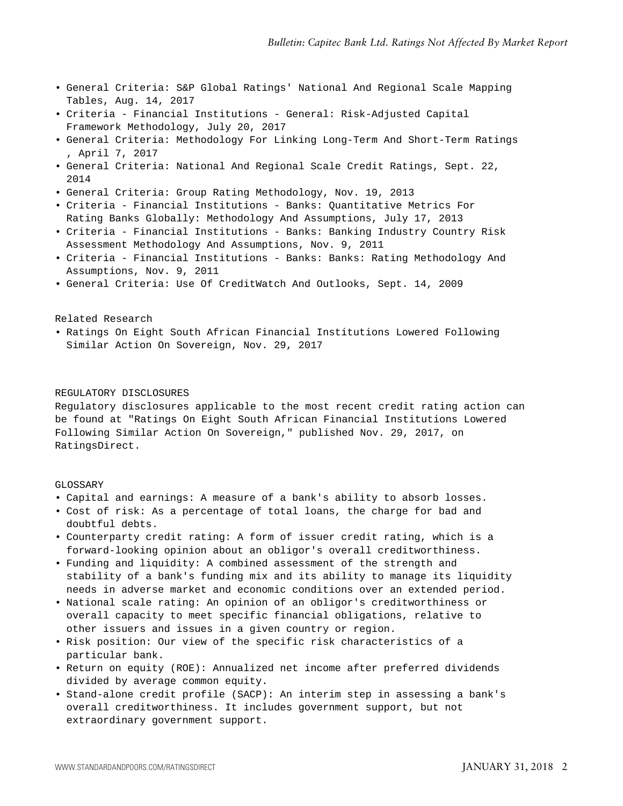- General Criteria: S&P Global Ratings' National And Regional Scale Mapping Tables, Aug. 14, 2017
- Criteria Financial Institutions General: Risk-Adjusted Capital Framework Methodology, July 20, 2017
- General Criteria: Methodology For Linking Long-Term And Short-Term Ratings , April 7, 2017
- General Criteria: National And Regional Scale Credit Ratings, Sept. 22, 2014
- General Criteria: Group Rating Methodology, Nov. 19, 2013
- Criteria Financial Institutions Banks: Quantitative Metrics For Rating Banks Globally: Methodology And Assumptions, July 17, 2013
- Criteria Financial Institutions Banks: Banking Industry Country Risk Assessment Methodology And Assumptions, Nov. 9, 2011
- Criteria Financial Institutions Banks: Banks: Rating Methodology And Assumptions, Nov. 9, 2011
- General Criteria: Use Of CreditWatch And Outlooks, Sept. 14, 2009

#### Related Research

• Ratings On Eight South African Financial Institutions Lowered Following Similar Action On Sovereign, Nov. 29, 2017

#### REGULATORY DISCLOSURES

Regulatory disclosures applicable to the most recent credit rating action can be found at "Ratings On Eight South African Financial Institutions Lowered Following Similar Action On Sovereign," published Nov. 29, 2017, on RatingsDirect.

#### GLOSSARY

- Capital and earnings: A measure of a bank's ability to absorb losses.
- Cost of risk: As a percentage of total loans, the charge for bad and doubtful debts.
- Counterparty credit rating: A form of issuer credit rating, which is a forward-looking opinion about an obligor's overall creditworthiness.
- Funding and liquidity: A combined assessment of the strength and stability of a bank's funding mix and its ability to manage its liquidity needs in adverse market and economic conditions over an extended period.
- National scale rating: An opinion of an obligor's creditworthiness or overall capacity to meet specific financial obligations, relative to other issuers and issues in a given country or region.
- Risk position: Our view of the specific risk characteristics of a particular bank.
- Return on equity (ROE): Annualized net income after preferred dividends divided by average common equity.
- Stand-alone credit profile (SACP): An interim step in assessing a bank's overall creditworthiness. It includes government support, but not extraordinary government support.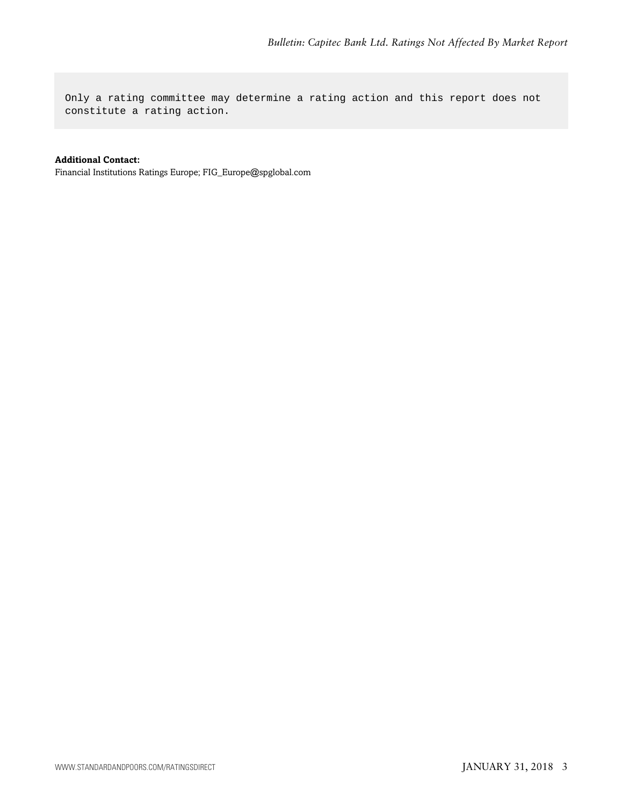Only a rating committee may determine a rating action and this report does not constitute a rating action.

#### **Additional Contact:**

Financial Institutions Ratings Europe; FIG\_Europe@spglobal.com